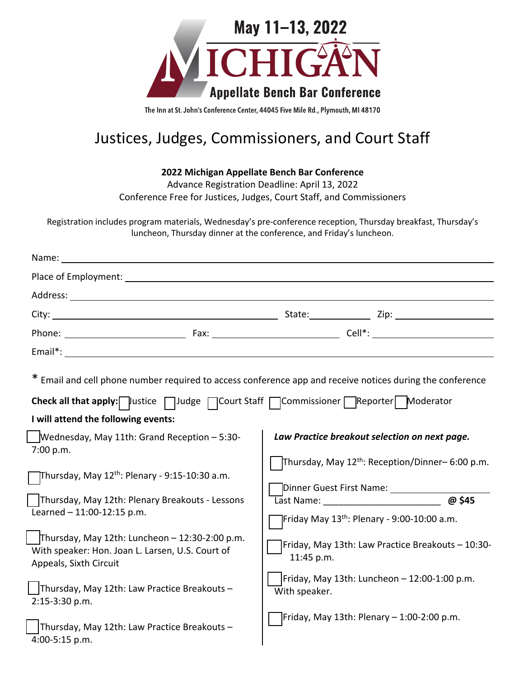

The Inn at St. John's Conference Center, 44045 Five Mile Rd., Plymouth, MI 48170

# Justices, Judges, Commissioners, and Court Staff

**2022 Michigan Appellate Bench Bar Conference** 

Advance Registration Deadline: April 13, 2022 Conference Free for Justices, Judges, Court Staff, and Commissioners

Registration includes program materials, Wednesday's pre-conference reception, Thursday breakfast, Thursday's luncheon, Thursday dinner at the conference, and Friday's luncheon.

| Name:                                                                                                                                                                                                                                                                                                                                                                                                        |                                                                                                                                                                                                                                                                                                                                                                                                                                                                       |        |
|--------------------------------------------------------------------------------------------------------------------------------------------------------------------------------------------------------------------------------------------------------------------------------------------------------------------------------------------------------------------------------------------------------------|-----------------------------------------------------------------------------------------------------------------------------------------------------------------------------------------------------------------------------------------------------------------------------------------------------------------------------------------------------------------------------------------------------------------------------------------------------------------------|--------|
|                                                                                                                                                                                                                                                                                                                                                                                                              |                                                                                                                                                                                                                                                                                                                                                                                                                                                                       |        |
|                                                                                                                                                                                                                                                                                                                                                                                                              |                                                                                                                                                                                                                                                                                                                                                                                                                                                                       |        |
|                                                                                                                                                                                                                                                                                                                                                                                                              |                                                                                                                                                                                                                                                                                                                                                                                                                                                                       |        |
|                                                                                                                                                                                                                                                                                                                                                                                                              |                                                                                                                                                                                                                                                                                                                                                                                                                                                                       |        |
|                                                                                                                                                                                                                                                                                                                                                                                                              |                                                                                                                                                                                                                                                                                                                                                                                                                                                                       |        |
| * Email and cell phone number required to access conference app and receive notices during the conference<br>Check all that apply: ustice   Judge   Court Staff   Commissioner   Reporter   Moderator                                                                                                                                                                                                        |                                                                                                                                                                                                                                                                                                                                                                                                                                                                       |        |
| I will attend the following events:                                                                                                                                                                                                                                                                                                                                                                          |                                                                                                                                                                                                                                                                                                                                                                                                                                                                       |        |
| Wednesday, May 11th: Grand Reception - 5:30-<br>7:00 p.m.<br>Thursday, May 12 <sup>th</sup> : Plenary - 9:15-10:30 a.m.<br>Thursday, May 12th: Plenary Breakouts - Lessons<br>Learned - 11:00-12:15 p.m.<br>Thursday, May 12th: Luncheon $-$ 12:30-2:00 p.m.<br>With speaker: Hon. Joan L. Larsen, U.S. Court of<br>Appeals, Sixth Circuit<br>Thursday, May 12th: Law Practice Breakouts -<br>2:15-3:30 p.m. | Law Practice breakout selection on next page.<br>Thursday, May 12 <sup>th</sup> : Reception/Dinner-6:00 p.m.<br>Dinner Guest First Name: ___________<br>Last Name: The contract of the contract of the contract of the contract of the contract of the contract of the<br>Friday May 13 <sup>th</sup> : Plenary - 9:00-10:00 a.m.<br>Friday, May 13th: Law Practice Breakouts - 10:30-<br>11:45 p.m.<br>Friday, May 13th: Luncheon - 12:00-1:00 p.m.<br>With speaker. | @ \$45 |
| Thursday, May 12th: Law Practice Breakouts-<br>4:00-5:15 p.m.                                                                                                                                                                                                                                                                                                                                                | Friday, May 13th: Plenary – 1:00-2:00 p.m.                                                                                                                                                                                                                                                                                                                                                                                                                            |        |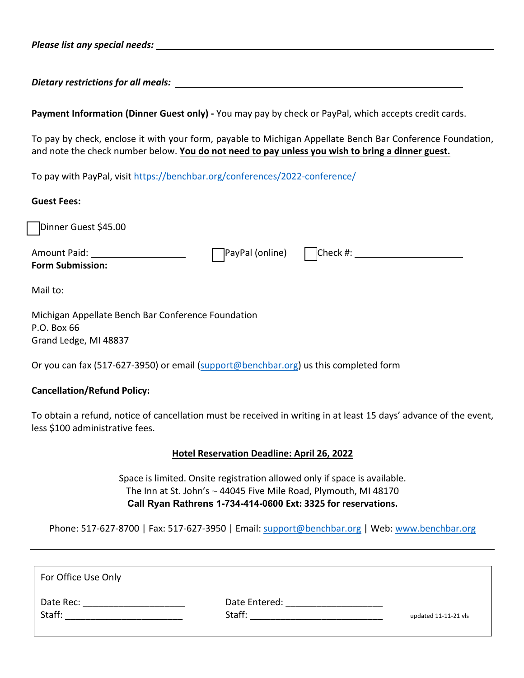*Please list any special needs:*

*Dietary restrictions for all meals:* 

**Payment Information (Dinner Guest only) -** You may pay by check or PayPal, which accepts credit cards.

To pay by check, enclose it with your form, payable to Michigan Appellate Bench Bar Conference Foundation, and note the check number below. **You do not need to pay unless you wish to bring a dinner guest.**

To pay with PayPal, visit https://benchbar.org/conferences/2022-conference/

#### **Guest Fees:**

Dinner Guest \$45.00

**Form Submission:** 

Amount Paid: PayPal (online) Check #:

Mail to:

Michigan Appellate Bench Bar Conference Foundation P.O. Box 66 Grand Ledge, MI 48837

Or you can fax (517-627-3950) or email (support@benchbar.org) us this completed form

### **Cancellation/Refund Policy:**

To obtain a refund, notice of cancellation must be received in writing in at least 15 days' advance of the event, less \$100 administrative fees.

### **Hotel Reservation Deadline: April 26, 2022**

Space is limited. Onsite registration allowed only if space is available. The Inn at St. John's  $\sim$  44045 Five Mile Road, Plymouth, MI 48170 **Call Ryan Rathrens 1-734-414-0600 Ext: 3325 for reservations.**

Phone: 517-627-8700 | Fax: 517-627-3950 | Email: support@benchbar.org | Web: www.benchbar.org

| For Office Use Only |                         |                      |
|---------------------|-------------------------|----------------------|
| Date Rec:<br>Staff: | Date Entered:<br>Staff: | updated 11-11-21 vls |